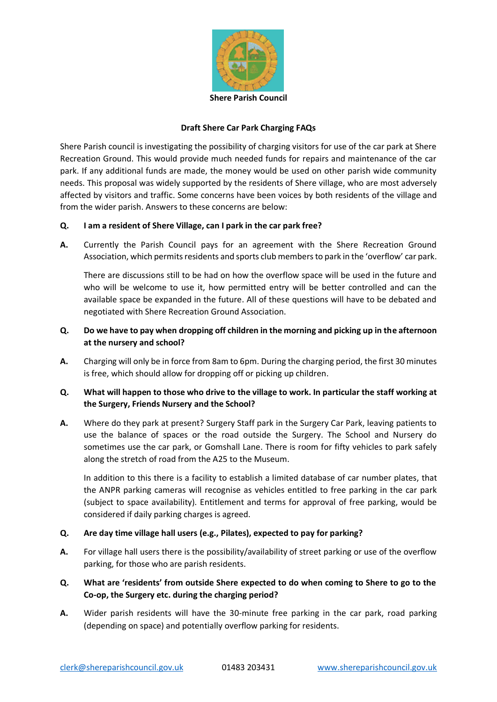

## **Draft Shere Car Park Charging FAQs**

Shere Parish council is investigating the possibility of charging visitors for use of the car park at Shere Recreation Ground. This would provide much needed funds for repairs and maintenance of the car park. If any additional funds are made, the money would be used on other parish wide community needs. This proposal was widely supported by the residents of Shere village, who are most adversely affected by visitors and traffic. Some concerns have been voices by both residents of the village and from the wider parish. Answers to these concerns are below:

### **Q. I am a resident of Shere Village, can I park in the car park free?**

**A.** Currently the Parish Council pays for an agreement with the Shere Recreation Ground Association, which permits residents and sports club members to park in the 'overflow' car park.

There are discussions still to be had on how the overflow space will be used in the future and who will be welcome to use it, how permitted entry will be better controlled and can the available space be expanded in the future. All of these questions will have to be debated and negotiated with Shere Recreation Ground Association.

# **Q. Do we have to pay when dropping off children in the morning and picking up in the afternoon at the nursery and school?**

**A.** Charging will only be in force from 8am to 6pm. During the charging period, the first 30 minutes is free, which should allow for dropping off or picking up children.

# **Q. What will happen to those who drive to the village to work. In particular the staff working at the Surgery, Friends Nursery and the School?**

**A.** Where do they park at present? Surgery Staff park in the Surgery Car Park, leaving patients to use the balance of spaces or the road outside the Surgery. The School and Nursery do sometimes use the car park, or Gomshall Lane. There is room for fifty vehicles to park safely along the stretch of road from the A25 to the Museum.

In addition to this there is a facility to establish a limited database of car number plates, that the ANPR parking cameras will recognise as vehicles entitled to free parking in the car park (subject to space availability). Entitlement and terms for approval of free parking, would be considered if daily parking charges is agreed.

#### **Q. Are day time village hall users (e.g., Pilates), expected to pay for parking?**

- **A.** For village hall users there is the possibility/availability of street parking or use of the overflow parking, for those who are parish residents.
- **Q. What are 'residents' from outside Shere expected to do when coming to Shere to go to the Co-op, the Surgery etc. during the charging period?**
- **A.** Wider parish residents will have the 30-minute free parking in the car park, road parking (depending on space) and potentially overflow parking for residents.